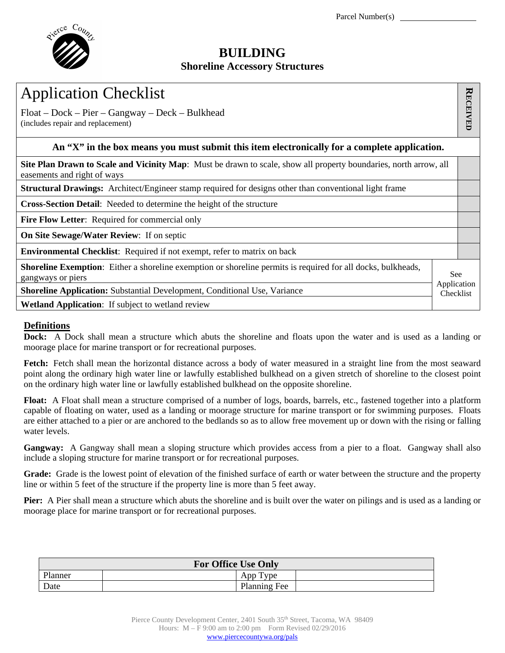

## **BUILDING**

## **Shoreline Accessory Structures**

| <b>Application Checklist</b>                                                                                                                                   |  |  |  |  |  |  |
|----------------------------------------------------------------------------------------------------------------------------------------------------------------|--|--|--|--|--|--|
| $Float – Dock – Pier – Gangway – Deck – Bulkhead$<br>(includes repair and replacement)                                                                         |  |  |  |  |  |  |
| An "X" in the box means you must submit this item electronically for a complete application.                                                                   |  |  |  |  |  |  |
| Site Plan Drawn to Scale and Vicinity Map: Must be drawn to scale, show all property boundaries, north arrow, all<br>easements and right of ways               |  |  |  |  |  |  |
| <b>Structural Drawings:</b> Architect/Engineer stamp required for designs other than conventional light frame                                                  |  |  |  |  |  |  |
| Cross-Section Detail: Needed to determine the height of the structure                                                                                          |  |  |  |  |  |  |
| <b>Fire Flow Letter:</b> Required for commercial only                                                                                                          |  |  |  |  |  |  |
| <b>On Site Sewage/Water Review:</b> If on septic                                                                                                               |  |  |  |  |  |  |
| Environmental Checklist: Required if not exempt, refer to matrix on back                                                                                       |  |  |  |  |  |  |
| <b>Shoreline Exemption:</b> Either a shoreline exemption or shoreline permits is required for all docks, bulkheads,<br>See<br>gangways or piers<br>Application |  |  |  |  |  |  |
| <b>Shoreline Application:</b> Substantial Development, Conditional Use, Variance<br>Checklist                                                                  |  |  |  |  |  |  |
| <b>Wetland Application:</b> If subject to wetland review                                                                                                       |  |  |  |  |  |  |

## **Definitions**

**Dock:** A Dock shall mean a structure which abuts the shoreline and floats upon the water and is used as a landing or moorage place for marine transport or for recreational purposes.

**Fetch:** Fetch shall mean the horizontal distance across a body of water measured in a straight line from the most seaward point along the ordinary high water line or lawfully established bulkhead on a given stretch of shoreline to the closest point on the ordinary high water line or lawfully established bulkhead on the opposite shoreline.

**Float:** A Float shall mean a structure comprised of a number of logs, boards, barrels, etc., fastened together into a platform capable of floating on water, used as a landing or moorage structure for marine transport or for swimming purposes. Floats are either attached to a pier or are anchored to the bedlands so as to allow free movement up or down with the rising or falling water levels.

**Gangway:** A Gangway shall mean a sloping structure which provides access from a pier to a float. Gangway shall also include a sloping structure for marine transport or for recreational purposes.

**Grade:** Grade is the lowest point of elevation of the finished surface of earth or water between the structure and the property line or within 5 feet of the structure if the property line is more than 5 feet away.

**Pier:** A Pier shall mean a structure which abuts the shoreline and is built over the water on pilings and is used as a landing or moorage place for marine transport or for recreational purposes.

| <b>For Office Use Only</b> |              |  |  |  |  |  |
|----------------------------|--------------|--|--|--|--|--|
| Planner                    | Type<br>App  |  |  |  |  |  |
| Date                       | Planning Fee |  |  |  |  |  |